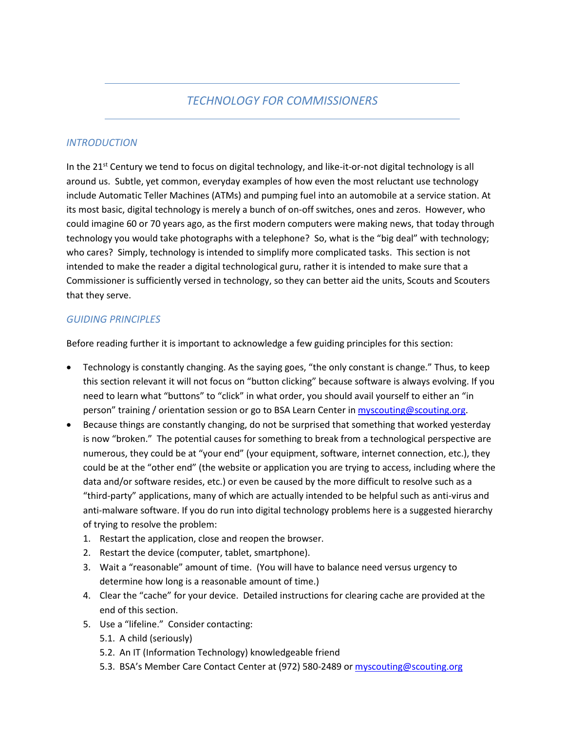## *TECHNOLOGY FOR COMMISSIONERS*

#### *INTRODUCTION*

In the  $21<sup>st</sup>$  Century we tend to focus on digital technology, and like-it-or-not digital technology is all around us. Subtle, yet common, everyday examples of how even the most reluctant use technology include Automatic Teller Machines (ATMs) and pumping fuel into an automobile at a service station. At its most basic, digital technology is merely a bunch of on-off switches, ones and zeros. However, who could imagine 60 or 70 years ago, as the first modern computers were making news, that today through technology you would take photographs with a telephone? So, what is the "big deal" with technology; who cares? Simply, technology is intended to simplify more complicated tasks. This section is not intended to make the reader a digital technological guru, rather it is intended to make sure that a Commissioner is sufficiently versed in technology, so they can better aid the units, Scouts and Scouters that they serve.

#### *GUIDING PRINCIPLES*

Before reading further it is important to acknowledge a few guiding principles for this section:

- Technology is constantly changing. As the saying goes, "the only constant is change." Thus, to keep this section relevant it will not focus on "button clicking" because software is always evolving. If you need to learn what "buttons" to "click" in what order, you should avail yourself to either an "in person" training / orientation session or go to BSA Learn Center in [myscouting@scouting.org.](mailto:myscouting@scouting.org)
- Because things are constantly changing, do not be surprised that something that worked yesterday is now "broken." The potential causes for something to break from a technological perspective are numerous, they could be at "your end" (your equipment, software, internet connection, etc.), they could be at the "other end" (the website or application you are trying to access, including where the data and/or software resides, etc.) or even be caused by the more difficult to resolve such as a "third-party" applications, many of which are actually intended to be helpful such as anti-virus and anti-malware software. If you do run into digital technology problems here is a suggested hierarchy of trying to resolve the problem:
	- 1. Restart the application, close and reopen the browser.
	- 2. Restart the device (computer, tablet, smartphone).
	- 3. Wait a "reasonable" amount of time. (You will have to balance need versus urgency to determine how long is a reasonable amount of time.)
	- 4. Clear the "cache" for your device. Detailed instructions for clearing cache are provided at the end of this section.
	- 5. Use a "lifeline." Consider contacting:
		- 5.1. A child (seriously)
		- 5.2. An IT (Information Technology) knowledgeable friend
		- 5.3. BSA's Member Care Contact Center at (972) 580-2489 or [myscouting@scouting.org](mailto:myscouting@scouting.org)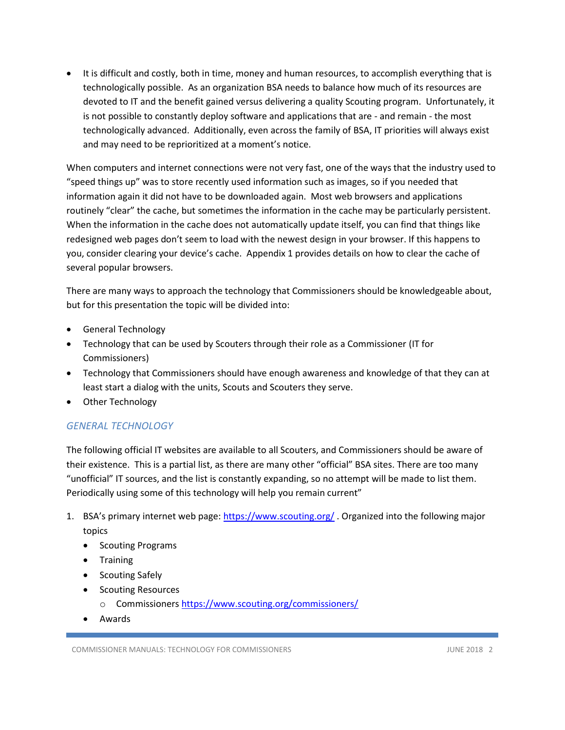• It is difficult and costly, both in time, money and human resources, to accomplish everything that is technologically possible. As an organization BSA needs to balance how much of its resources are devoted to IT and the benefit gained versus delivering a quality Scouting program. Unfortunately, it is not possible to constantly deploy software and applications that are - and remain - the most technologically advanced. Additionally, even across the family of BSA, IT priorities will always exist and may need to be reprioritized at a moment's notice.

When computers and internet connections were not very fast, one of the ways that the industry used to "speed things up" was to store recently used information such as images, so if you needed that information again it did not have to be downloaded again. Most web browsers and applications routinely "clear" the cache, but sometimes the information in the cache may be particularly persistent. When the information in the cache does not automatically update itself, you can find that things like redesigned web pages don't seem to load with the newest design in your browser. If this happens to you, consider clearing your device's cache. Appendix 1 provides details on how to clear the cache of several popular browsers.

There are many ways to approach the technology that Commissioners should be knowledgeable about, but for this presentation the topic will be divided into:

- General Technology
- Technology that can be used by Scouters through their role as a Commissioner (IT for Commissioners)
- Technology that Commissioners should have enough awareness and knowledge of that they can at least start a dialog with the units, Scouts and Scouters they serve.
- Other Technology

### *GENERAL TECHNOLOGY*

The following official IT websites are available to all Scouters, and Commissioners should be aware of their existence. This is a partial list, as there are many other "official" BSA sites. There are too many "unofficial" IT sources, and the list is constantly expanding, so no attempt will be made to list them. Periodically using some of this technology will help you remain current"

- 1. BSA's primary internet web page:<https://www.scouting.org/> . Organized into the following major topics
	- Scouting Programs
	- Training
	- Scouting Safely
	- Scouting Resources
		- o Commissioner[s https://www.scouting.org/commissioners/](https://www.scouting.org/commissioners/)
	- Awards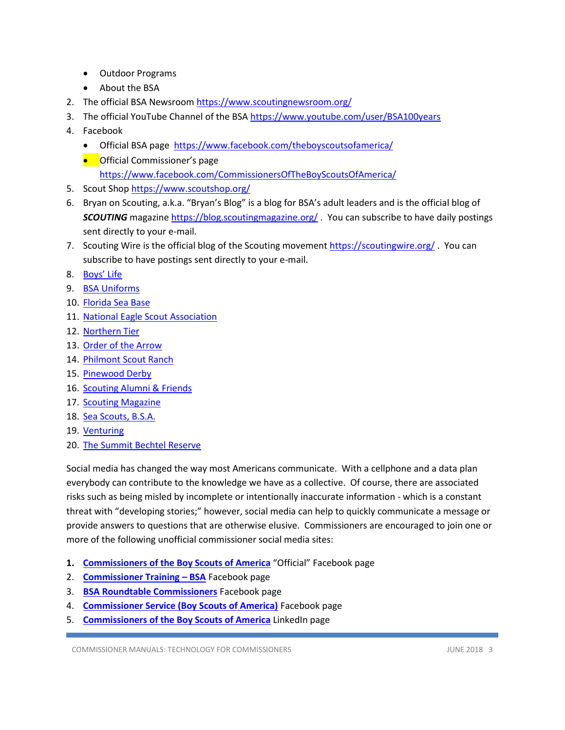- Outdoor Programs
- About the BSA
- 2. The official BSA Newsroom<https://www.scoutingnewsroom.org/>
- 3. The official YouTube Channel of the BSA<https://www.youtube.com/user/BSA100years>
- 4. Facebook
	- Official BSA page<https://www.facebook.com/theboyscoutsofamerica/>
	- **•** Official Commissioner's page <https://www.facebook.com/CommissionersOfTheBoyScoutsOfAmerica/>
- 5. Scout Shop<https://www.scoutshop.org/>
- 6. Bryan on Scouting, a.k.a. "Bryan's Blog" is a blog for BSA's adult leaders and is the official blog of **SCOUTING** magazin[e https://blog.scoutingmagazine.org/](https://blog.scoutingmagazine.org/). You can subscribe to have daily postings sent directly to your e-mail.
- 7. Scouting Wire is the official blog of the Scouting movement<https://scoutingwire.org/> . You can subscribe to have postings sent directly to your e-mail.
- 8. [Boys' Life](file:///D:/Documents/Scouting/National/Manuals/boyslife.org)
- 9. [BSA Uniforms](http://www.bsauniforms.org/)
- 10. [Florida Sea Base](http://www.bsaseabase.org/)
- 11. [National Eagle Scout Association](http://www.nesa.org/)
- 12. [Northern Tier](http://www.ntier.org/)
- 13. [Order of the Arrow](https://oa-bsa.org/)
- 14. [Philmont Scout Ranch](http://www.philmontscoutranch.org/)
- 15. [Pinewood Derby](http://www.pinewoodderby.org/)
- 16. [Scouting Alumni & Friends](http://www.scoutingfriends.org/)
- 17. [Scouting Magazine](https://scoutingmagazine.org/)
- 18. [Sea Scouts, B.S.A.](https://seascout.org/)
- 19. [Venturing](http://www.venturing.org/)
- 20. [The Summit Bechtel Reserve](http://www.summitbsa.org/)

Social media has changed the way most Americans communicate. With a cellphone and a data plan everybody can contribute to the knowledge we have as a collective. Of course, there are associated risks such as being misled by incomplete or intentionally inaccurate information - which is a constant threat with "developing stories;" however, social media can help to quickly communicate a message or provide answers to questions that are otherwise elusive. Commissioners are encouraged to join one or more of the following unofficial commissioner social media sites:

- **1. [Commissioners of the Boy Scouts of America](https://www.facebook.com/CommissionersOfTheBoyScoutsOfAmerica/)** "Official" Facebook page
- 2. **[Commissioner Training](https://www.facebook.com/groups/1976324522626471/)  BSA** Facebook page
- 3. **[BSA Roundtable Commissioners](https://www.facebook.com/groups/ScoutRTCommish/)** Facebook page
- 4. **[Commissioner Service \(Boy Scouts of America\)](https://www.facebook.com/groups/bsa.commissioners)** Facebook page
- 5. **[Commissioners of the Boy Scouts of America](https://www.linkedin.com/groups/92833)** LinkedIn page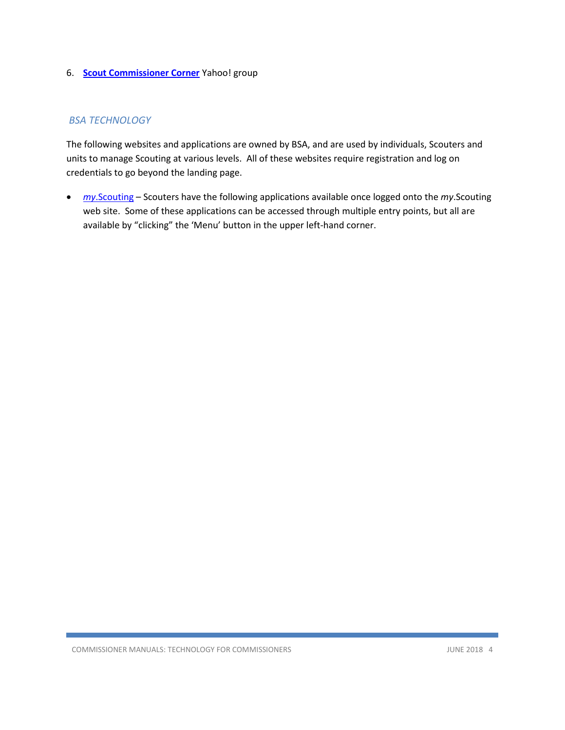#### 6. **[Scout Commissioner Corner](https://groups.yahoo.com/neo/groups/Scout_Commissioner/info)** Yahoo! group

#### *BSA TECHNOLOGY*

The following websites and applications are owned by BSA, and are used by individuals, Scouters and units to manage Scouting at various levels. All of these websites require registration and log on credentials to go beyond the landing page.

• *my*[.Scouting](https://my.scouting.org/) – Scouters have the following applications available once logged onto the *my*.Scouting web site. Some of these applications can be accessed through multiple entry points, but all are available by "clicking" the 'Menu' button in the upper left-hand corner.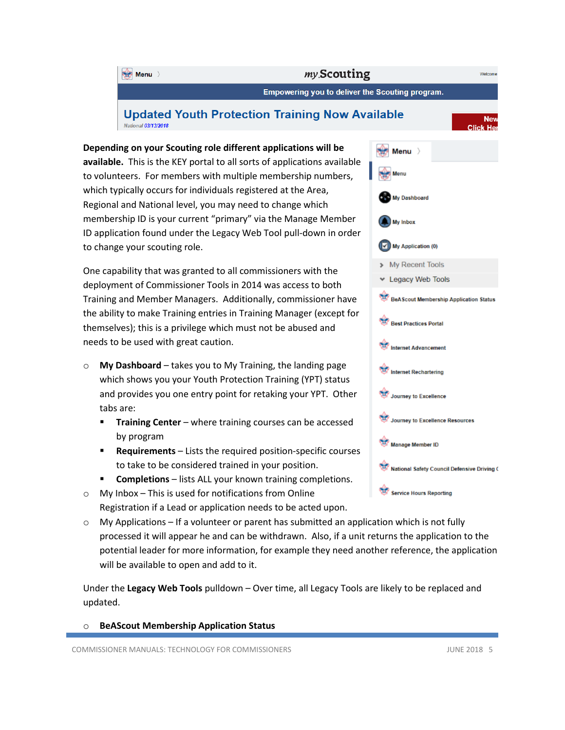

**available.** This is the KEY portal to all sorts of applications available to volunteers. For members with multiple membership numbers, which typically occurs for individuals registered at the Area, Regional and National level, you may need to change which membership ID is your current "primary" via the Manage Member ID application found under the Legacy Web Tool pull-down in order to change your scouting role.

One capability that was granted to all commissioners with the deployment of Commissioner Tools in 2014 was access to both Training and Member Managers. Additionally, commissioner have the ability to make Training entries in Training Manager (except for themselves); this is a privilege which must not be abused and needs to be used with great caution.

- o **My Dashboard** takes you to My Training, the landing page which shows you your Youth Protection Training (YPT) status and provides you one entry point for retaking your YPT. Other tabs are:
	- **F** Training Center where training courses can be accessed by program
	- **Requirements** Lists the required position-specific courses to take to be considered trained in your position.
	- **EXECOMPLE 19.5 FORM FIGURE 19.5 FORM FIGURE 19.5 FORM FIGURE 10.5 FORM FIGURE 10.5 FORM FIGURE 10.5 FORM FIGURE 10.6 FIGURE 10.5 FORM FIGURE 10.5 FORM <b>CONDE**
- o My Inbox This is used for notifications from Online Registration if a Lead or application needs to be acted upon.
- $\circ$  My Applications If a volunteer or parent has submitted an application which is not fully processed it will appear he and can be withdrawn. Also, if a unit returns the application to the potential leader for more information, for example they need another reference, the application will be available to open and add to it.

Under the **Legacy Web Tools** pulldown – Over time, all Legacy Tools are likely to be replaced and updated.

o **BeAScout Membership Application Status**

COMMISSIONER MANUALS: TECHNOLOGY FOR COMMISSIONERS **FOR COMMISSIONERS** JUNE 2018 5

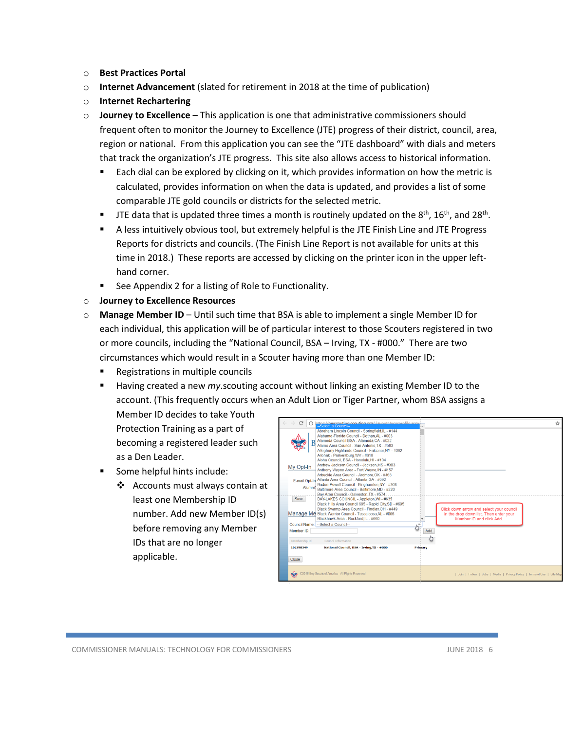- o **Best Practices Portal**
- o **Internet Advancement** (slated for retirement in 2018 at the time of publication)
- o **Internet Rechartering**
- o **Journey to Excellence** This application is one that administrative commissioners should frequent often to monitor the Journey to Excellence (JTE) progress of their district, council, area, region or national. From this application you can see the "JTE dashboard" with dials and meters that track the organization's JTE progress. This site also allows access to historical information.
	- Each dial can be explored by clicking on it, which provides information on how the metric is calculated, provides information on when the data is updated, and provides a list of some comparable JTE gold councils or districts for the selected metric.
	- **TE** data that is updated three times a month is routinely updated on the  $8<sup>th</sup>$ , 16<sup>th</sup>, and 28<sup>th</sup>.
	- **EXECT** A less intuitively obvious tool, but extremely helpful is the JTE Finish Line and JTE Progress Reports for districts and councils. (The Finish Line Report is not available for units at this time in 2018.) These reports are accessed by clicking on the printer icon in the upper lefthand corner.
	- See Appendix 2 for a listing of Role to Functionality.
- o **Journey to Excellence Resources**
- o **Manage Member ID** Until such time that BSA is able to implement a single Member ID for each individual, this application will be of particular interest to those Scouters registered in two or more councils, including the "National Council, BSA – Irving, TX - #000." There are two circumstances which would result in a Scouter having more than one Member ID:
	- Registrations in multiple councils
	- Having created a new *my*.scouting account without linking an existing Member ID to the account. (This frequently occurs when an Adult Lion or Tiger Partner, whom BSA assigns a

Member ID decides to take Youth Protection Training as a part of becoming a registered leader such as a Den Leader.

- Some helpful hints include:
	- ❖ Accounts must always contain at least one Membership ID number. Add new Member ID(s) before removing any Member IDs that are no longer applicable.

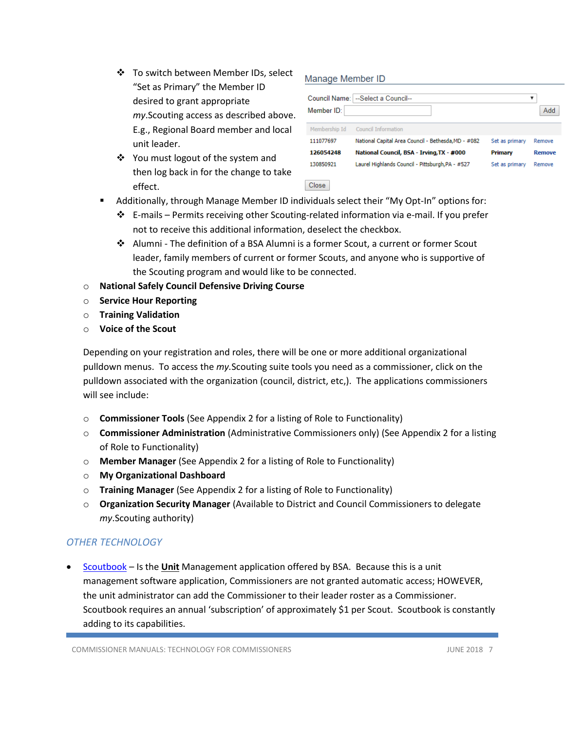- ❖ To switch between Member IDs, select "Set as Primary" the Member ID desired to grant appropriate *my*.Scouting access as described above. E.g., Regional Board member and local unit leader.
- ❖ You must logout of the system and then log back in for the change to take effect.

### Manage Member ID

| Member ID:    | Council Name:   --Select a Council--                |                | Add    |
|---------------|-----------------------------------------------------|----------------|--------|
| Membership Id | <b>Council Information</b>                          |                |        |
| 111077697     | National Capital Area Council - Bethesda, MD - #082 | Set as primary | Remove |
| 126054248     | National Council, BSA - Irving, TX - #000           | Primary        | Remove |
| 130850921     | Laurel Highlands Council - Pittsburgh, PA - #527    | Set as primary | Remove |

- Additionally, through Manage Member ID individuals select their "My Opt-In" options for:
	- ❖ E-mails Permits receiving other Scouting-related information via e-mail. If you prefer not to receive this additional information, deselect the checkbox.

Close

- ❖ Alumni The definition of a BSA Alumni is a former Scout, a current or former Scout leader, family members of current or former Scouts, and anyone who is supportive of the Scouting program and would like to be connected.
- o **National Safely Council Defensive Driving Course**
- o **Service Hour Reporting**
- o **Training Validation**
- o **Voice of the Scout**

Depending on your registration and roles, there will be one or more additional organizational pulldown menus. To access the *my.*Scouting suite tools you need as a commissioner, click on the pulldown associated with the organization (council, district, etc,). The applications commissioners will see include:

- o **Commissioner Tools** (See Appendix 2 for a listing of Role to Functionality)
- o **Commissioner Administration** (Administrative Commissioners only) (See Appendix 2 for a listing of Role to Functionality)
- o **Member Manager** (See Appendix 2 for a listing of Role to Functionality)
- o **My Organizational Dashboard**
- o **Training Manager** (See Appendix 2 for a listing of Role to Functionality)
- o **Organization Security Manager** (Available to District and Council Commissioners to delegate *my*.Scouting authority)

### *OTHER TECHNOLOGY*

• [Scoutbook](https://www.scoutbook.com/) – Is the **Unit** Management application offered by BSA. Because this is a unit management software application, Commissioners are not granted automatic access; HOWEVER, the unit administrator can add the Commissioner to their leader roster as a Commissioner. Scoutbook requires an annual 'subscription' of approximately \$1 per Scout. Scoutbook is constantly adding to its capabilities.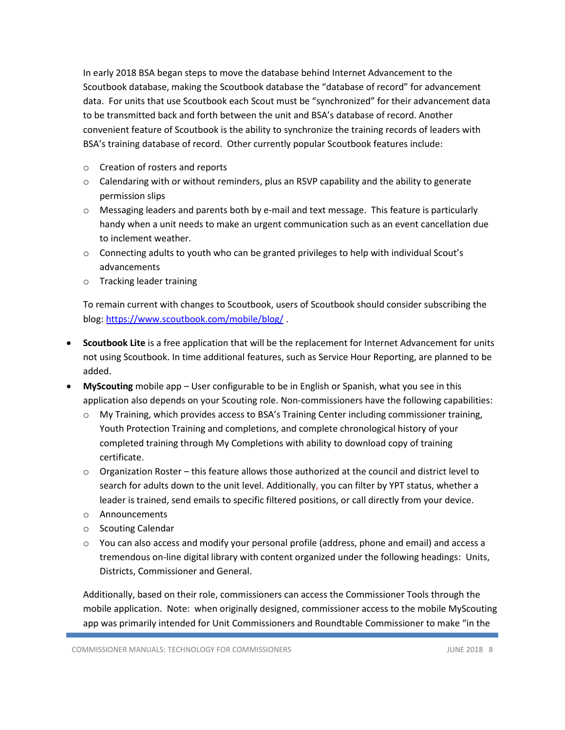In early 2018 BSA began steps to move the database behind Internet Advancement to the Scoutbook database, making the Scoutbook database the "database of record" for advancement data. For units that use Scoutbook each Scout must be "synchronized" for their advancement data to be transmitted back and forth between the unit and BSA's database of record. Another convenient feature of Scoutbook is the ability to synchronize the training records of leaders with BSA's training database of record. Other currently popular Scoutbook features include:

- o Creation of rosters and reports
- $\circ$  Calendaring with or without reminders, plus an RSVP capability and the ability to generate permission slips
- o Messaging leaders and parents both by e-mail and text message. This feature is particularly handy when a unit needs to make an urgent communication such as an event cancellation due to inclement weather.
- $\circ$  Connecting adults to youth who can be granted privileges to help with individual Scout's advancements
- o Tracking leader training

To remain current with changes to Scoutbook, users of Scoutbook should consider subscribing the blog[: https://www.scoutbook.com/mobile/blog/](https://www.scoutbook.com/mobile/blog/) .

- **Scoutbook Lite** is a free application that will be the replacement for Internet Advancement for units not using Scoutbook. In time additional features, such as Service Hour Reporting, are planned to be added.
- **MyScouting** mobile app User configurable to be in English or Spanish, what you see in this application also depends on your Scouting role. Non-commissioners have the following capabilities:
	- o My Training, which provides access to BSA's Training Center including commissioner training, Youth Protection Training and completions, and complete chronological history of your completed training through My Completions with ability to download copy of training certificate.
	- $\circ$  Organization Roster this feature allows those authorized at the council and district level to search for adults down to the unit level. Additionally, you can filter by YPT status, whether a leader is trained, send emails to specific filtered positions, or call directly from your device.
	- o Announcements
	- o Scouting Calendar
	- o You can also access and modify your personal profile (address, phone and email) and access a tremendous on-line digital library with content organized under the following headings: Units, Districts, Commissioner and General.

Additionally, based on their role, commissioners can access the Commissioner Tools through the mobile application. Note: when originally designed, commissioner access to the mobile MyScouting app was primarily intended for Unit Commissioners and Roundtable Commissioner to make "in the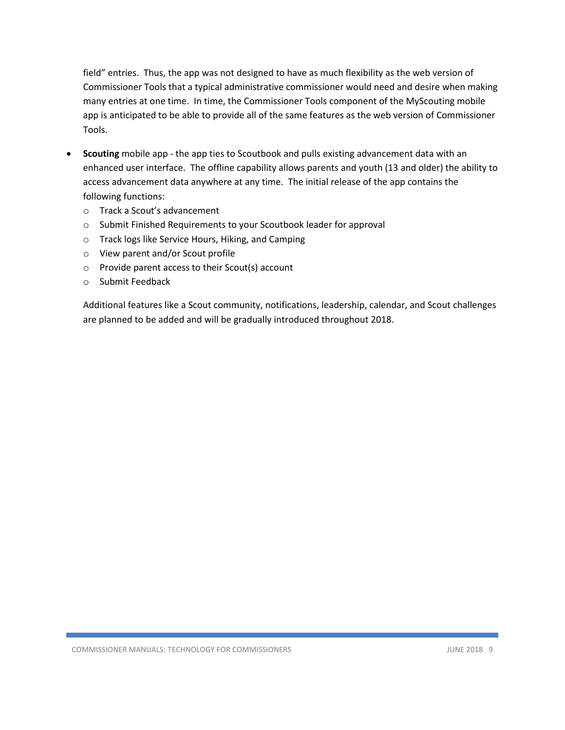field" entries. Thus, the app was not designed to have as much flexibility as the web version of Commissioner Tools that a typical administrative commissioner would need and desire when making many entries at one time. In time, the Commissioner Tools component of the MyScouting mobile app is anticipated to be able to provide all of the same features as the web version of Commissioner Tools.

- **Scouting** mobile app the app ties to Scoutbook and pulls existing advancement data with an enhanced user interface. The offline capability allows parents and youth (13 and older) the ability to access advancement data anywhere at any time. The initial release of the app contains the following functions:
	- o Track a Scout's advancement
	- o Submit Finished Requirements to your Scoutbook leader for approval
	- o Track logs like Service Hours, Hiking, and Camping
	- o View parent and/or Scout profile
	- o Provide parent access to their Scout(s) account
	- o Submit Feedback

Additional features like a Scout community, notifications, leadership, calendar, and Scout challenges are planned to be added and will be gradually introduced throughout 2018.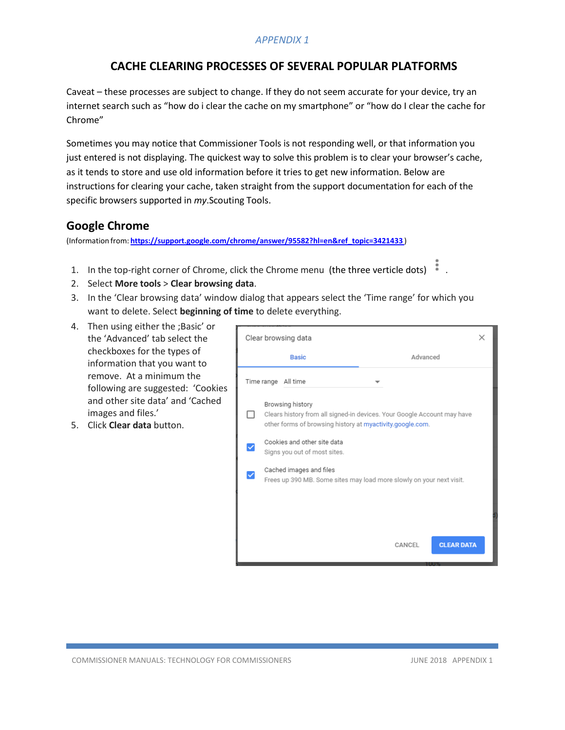### *APPENDIX 1*

## **CACHE CLEARING PROCESSES OF SEVERAL POPULAR PLATFORMS**

Caveat – these processes are subject to change. If they do not seem accurate for your device, try an internet search such as "how do i clear the cache on my smartphone" or "how do I clear the cache for Chrome"

Sometimes you may notice that Commissioner Tools is not responding well, or that information you just entered is not displaying. The quickest way to solve this problem is to clear your browser's cache, as it tends to store and use old information before it tries to get new information. Below are instructions for clearing your cache, taken straight from the support documentation for each of the specific browsers supported in *my*.Scouting Tools.

### **Google Chrome**

(Information from: **[https://support.google.com/chrome/answer/95582?hl=en&ref\\_topic=3421433](https://support.google.com/chrome/answer/95582?hl=en&ref_topic=3421433)** )

- 1. In the top-right corner of Chrome, click the Chrome menu (the three verticle dots) .
- 2. Select **More tools** > **Clear browsing data**.
- 3. In the 'Clear browsing data' window dialog that appears select the 'Time range' for which you want to delete. Select **beginning of time** to delete everything.
- 4. Then using either the ;Basic' or the 'Advanced' tab select the checkboxes for the types of information that you want to remove. At a minimum the following are suggested: 'Cookies and other site data' and 'Cached images and files.'
- 5. Click **Clear data** button.

|                                                                                                                                                          | Clear browsing data                                                                             |  |  |  |  |  |  |  |  |  |  |  |  |
|----------------------------------------------------------------------------------------------------------------------------------------------------------|-------------------------------------------------------------------------------------------------|--|--|--|--|--|--|--|--|--|--|--|--|
|                                                                                                                                                          | Advanced<br><b>Basic</b>                                                                        |  |  |  |  |  |  |  |  |  |  |  |  |
|                                                                                                                                                          | Time range All time                                                                             |  |  |  |  |  |  |  |  |  |  |  |  |
| Browsing history<br>Clears history from all signed-in devices. Your Google Account may have<br>other forms of browsing history at myactivity.google.com. |                                                                                                 |  |  |  |  |  |  |  |  |  |  |  |  |
|                                                                                                                                                          | Cookies and other site data<br>Signs you out of most sites.                                     |  |  |  |  |  |  |  |  |  |  |  |  |
|                                                                                                                                                          | Cached images and files<br>Frees up 390 MB. Some sites may load more slowly on your next visit. |  |  |  |  |  |  |  |  |  |  |  |  |
|                                                                                                                                                          |                                                                                                 |  |  |  |  |  |  |  |  |  |  |  |  |
|                                                                                                                                                          | <b>CLEAR DATA</b><br>CANCEL                                                                     |  |  |  |  |  |  |  |  |  |  |  |  |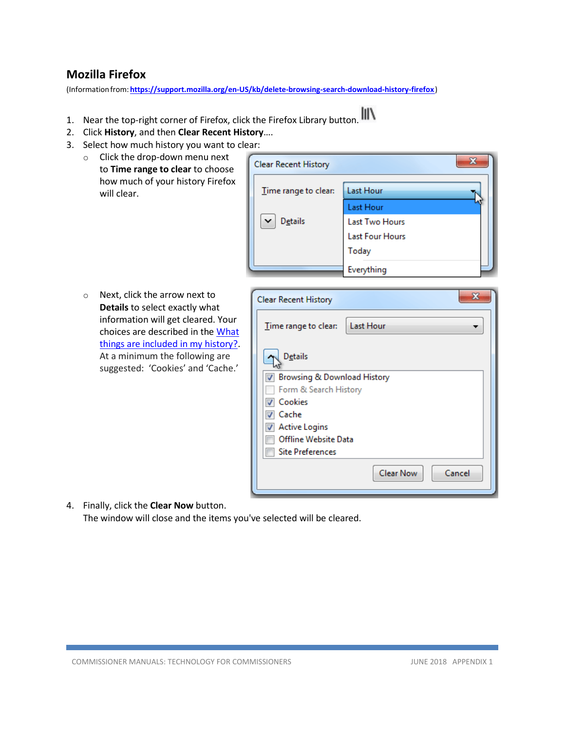## **Mozilla Firefox**

(Informationfrom:**<https://support.mozilla.org/en-US/kb/delete-browsing-search-download-history-firefox>**)

- 1. Near the top-right corner of Firefox, click the Firefox Library button.
- 2. Click **History**, and then **Clear Recent History**….
- 3. Select how much history you want to clear:
	- o Click the drop-down menu next to **Time range to clear** to choose how much of your history Firefox will clear.



o Next, click the arrow next to **Details** to select exactly what information will get cleared. Your choices are described in the [What](https://support.mozilla.org/en-US/kb/delete-browsing-search-download-history-firefox#w_what-things-are-included-in-my-history) things are included in [my history?.](https://support.mozilla.org/en-US/kb/delete-browsing-search-download-history-firefox#w_what-things-are-included-in-my-history) At a minimum the following are suggested: 'Cookies' and 'Cache.'

| <b>Clear Recent History</b>       |  |  |  |  |  |  |  |  |  |  |
|-----------------------------------|--|--|--|--|--|--|--|--|--|--|
| Last Hour<br>Time range to clear: |  |  |  |  |  |  |  |  |  |  |
| <b>Details</b>                    |  |  |  |  |  |  |  |  |  |  |
| Browsing & Download History       |  |  |  |  |  |  |  |  |  |  |
| Form & Search History             |  |  |  |  |  |  |  |  |  |  |
| Cookies                           |  |  |  |  |  |  |  |  |  |  |
| Cache                             |  |  |  |  |  |  |  |  |  |  |
| <b>Active Logins</b>              |  |  |  |  |  |  |  |  |  |  |
| Offline Website Data              |  |  |  |  |  |  |  |  |  |  |
| <b>Site Preferences</b>           |  |  |  |  |  |  |  |  |  |  |
| <b>Clear Now</b><br>Cancel        |  |  |  |  |  |  |  |  |  |  |

4. Finally, click the **Clear Now** button. The window will close and the items you've selected will be cleared.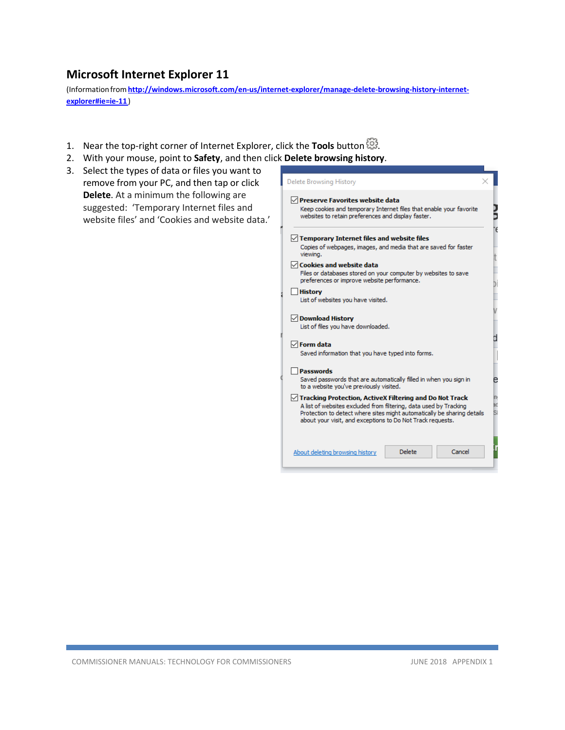# **Microsoft Internet Explorer 11**

(Information from [http://windows.microsoft.com/en-us/internet-explorer/manage-delete-browsing-history-internet](http://windows.microsoft.com/en-us/internet-explorer/manage-delete-browsing-history-internet-explorer#ie%3Die-11)**[explorer#ie=ie-11](http://windows.microsoft.com/en-us/internet-explorer/manage-delete-browsing-history-internet-explorer#ie%3Die-11)**)

- 1. Near the top-right corner of Internet Explorer, click the **Tools** button  $\ddot{\mathbb{S}}$ .
- 2. With your mouse, point to **Safety**, and then click **Delete browsing history**.
- 3. Select the types of data or files you want to remove from your PC, and then tap or click **Delete**. At a minimum the following are suggested: 'Temporary Internet files and website files' and 'Cookies and website data.'

| <b>Delete Browsing History</b>                                                                                                                                                                                                                                                  |  |
|---------------------------------------------------------------------------------------------------------------------------------------------------------------------------------------------------------------------------------------------------------------------------------|--|
| $\vee$ Preserve Favorites website data<br>Keep cookies and temporary Internet files that enable your favorite<br>websites to retain preferences and display faster.                                                                                                             |  |
| $\sqrt{\ }$ Temporary Internet files and website files                                                                                                                                                                                                                          |  |
| Copies of webpages, images, and media that are saved for faster<br>viewing.                                                                                                                                                                                                     |  |
| $\sqrt{\phantom{a}}$ Cookies and website data                                                                                                                                                                                                                                   |  |
| Files or databases stored on your computer by websites to save<br>preferences or improve website performance.                                                                                                                                                                   |  |
| <b>History</b><br>List of websites you have visited.                                                                                                                                                                                                                            |  |
| √ Download History<br>List of files you have downloaded.                                                                                                                                                                                                                        |  |
| $\sqrt{}$ Form data<br>Saved information that you have typed into forms.                                                                                                                                                                                                        |  |
| <b>Passwords</b><br>Saved passwords that are automatically filled in when you sign in<br>to a website you've previously visited.                                                                                                                                                |  |
| $\sqrt{}$ Tracking Protection, ActiveX Filtering and Do Not Track<br>A list of websites excluded from filtering, data used by Tracking<br>Protection to detect where sites might automatically be sharing details<br>about your visit, and exceptions to Do Not Track requests. |  |
| Delete<br>Cancel<br>About deleting browsing history                                                                                                                                                                                                                             |  |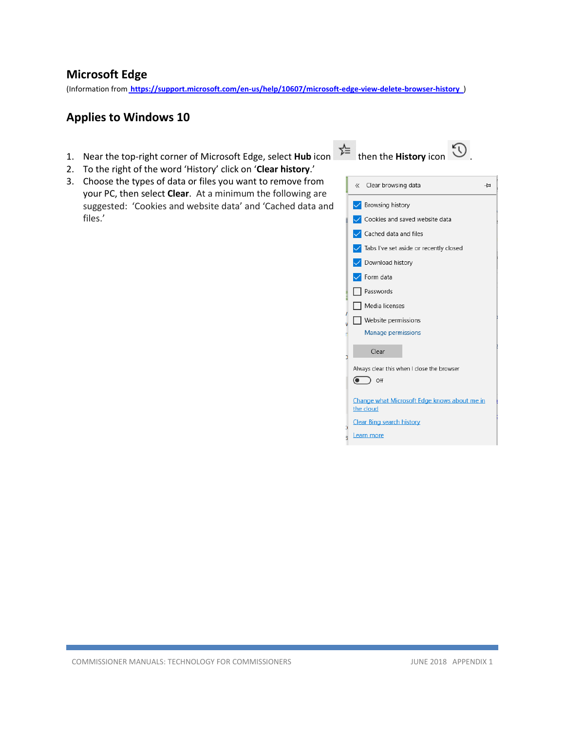## **Microsoft Edge**

(Information from **<https://support.microsoft.com/en-us/help/10607/microsoft-edge-view-delete-browser-history>** [\)](http://windows.microsoft.com/en-us/windows-10/microsoft-edge-view-or-delete-browsing-history)

# **Applies to Windows 10**

- 1. Near the top-right corner of Microsoft Edge, select **Hub** icon  $\overrightarrow{f}$  then the **History** icon  $\overrightarrow{D}$ .
- 2. To the right of the word 'History' click on '**Clear history**.'
- 3. Choose the types of data or files you want to remove from your PC, then select **Clear**. At a minimum the following are suggested: 'Cookies and website data' and 'Cached data and files.'



|           | « Clear browsing data                        | ⊣≍ |
|-----------|----------------------------------------------|----|
|           | <b>√</b> Browsing history                    |    |
|           | Cookies and saved website data               |    |
|           | Cached data and files                        |    |
|           | Tabs I've set aside or recently closed       |    |
|           | Download history                             |    |
|           | Form data                                    |    |
|           | Passwords                                    |    |
|           | Media licenses                               |    |
|           | Website permissions                          |    |
|           | Manage permissions                           |    |
|           | Clear                                        |    |
|           | Always clear this when I close the browser   |    |
| $\odot$   | Off                                          |    |
| the cloud | Change what Microsoft Edge knows about me in |    |
|           | <b>Clear Bing search history</b>             |    |
|           | Learn more                                   |    |
|           |                                              |    |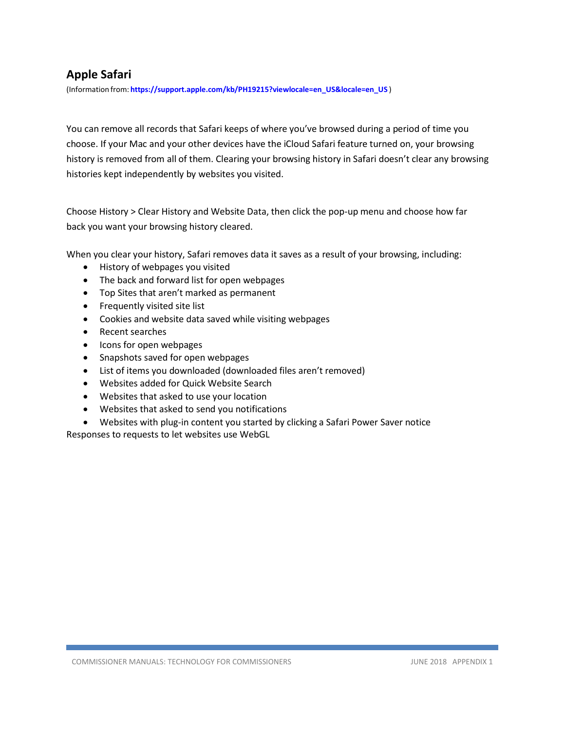# **Apple Safari**

(Information from: **[https://support.apple.com/kb/PH19215?viewlocale=en\\_US&locale=en\\_US](https://support.apple.com/kb/PH19215?viewlocale=en_US&locale=en_US)** )

You can remove all records that Safari keeps of where you've browsed during a period of time you choose. If your Mac and your other devices have the iCloud Safari feature turned on, your browsing history is removed from all of them. Clearing your browsing history in Safari doesn't clear any browsing histories kept independently by websites you visited.

Choose History > Clear History and Website Data, then click the pop-up menu and choose how far back you want your browsing history cleared.

When you clear your history, Safari removes data it saves as a result of your browsing, including:

- History of webpages you visited
- The back and forward list for open webpages
- Top Sites that aren't marked as permanent
- Frequently visited site list
- Cookies and website data saved while visiting webpages
- Recent searches
- Icons for open webpages
- Snapshots saved for open webpages
- List of items you downloaded (downloaded files aren't removed)
- Websites added for Quick Website Search
- Websites that asked to use your location
- Websites that asked to send you notifications
- Websites with plug-in content you started by clicking a Safari Power Saver notice

Responses to requests to let websites use WebGL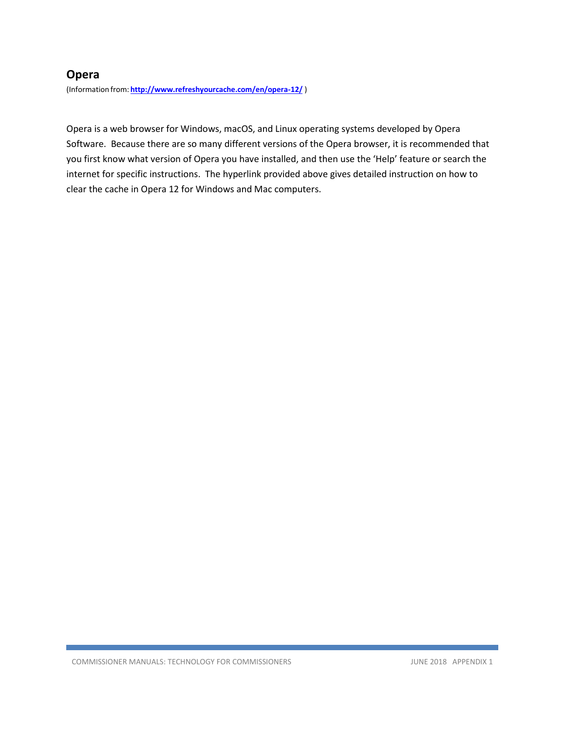## **Opera**

(Information from: **<http://www.refreshyourcache.com/en/opera-12/>** )

Opera is a web browser for Windows, macOS, and Linux operating systems developed by Opera Software. Because there are so many different versions of the Opera browser, it is recommended that you first know what version of Opera you have installed, and then use the 'Help' feature or search the internet for specific instructions. The hyperlink provided above gives detailed instruction on how to clear the cache in Opera 12 for Windows and Mac computers.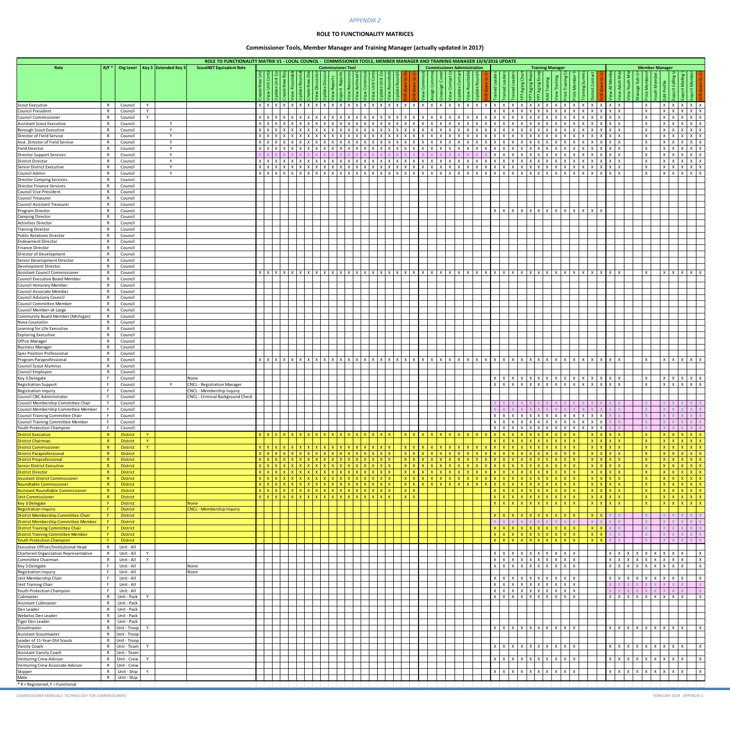# *APPENDIX 2*

# **ROLE TO FUNCTIONALITY MATRICES**

# **Commissioner Tools, Member Manager and Training Manager (actually updated in 2017)**

|                                                                                  |                                                                |                                    |                                                                                                                            |            |                                        |   |                   |              |                                                               |              |                          |                               | <b>APPENDIX 2</b> |                                          |                                                                                           |                              |                              |                                                   |                 |                                         |                                                    |                       |                                                 |                                         |                              |                                                              |                              |                                                                                                                                                                                                                                                                                                                                                                                                                                                       |                                                                  |                        |                                 |                                 |               |                                                   |                                          |  |
|----------------------------------------------------------------------------------|----------------------------------------------------------------|------------------------------------|----------------------------------------------------------------------------------------------------------------------------|------------|----------------------------------------|---|-------------------|--------------|---------------------------------------------------------------|--------------|--------------------------|-------------------------------|-------------------|------------------------------------------|-------------------------------------------------------------------------------------------|------------------------------|------------------------------|---------------------------------------------------|-----------------|-----------------------------------------|----------------------------------------------------|-----------------------|-------------------------------------------------|-----------------------------------------|------------------------------|--------------------------------------------------------------|------------------------------|-------------------------------------------------------------------------------------------------------------------------------------------------------------------------------------------------------------------------------------------------------------------------------------------------------------------------------------------------------------------------------------------------------------------------------------------------------|------------------------------------------------------------------|------------------------|---------------------------------|---------------------------------|---------------|---------------------------------------------------|------------------------------------------|--|
|                                                                                  |                                                                |                                    |                                                                                                                            |            |                                        |   |                   |              |                                                               |              |                          |                               |                   |                                          | <b>ROLE TO FUNCTIONALITY MATRICES</b>                                                     |                              |                              |                                                   |                 |                                         |                                                    |                       |                                                 |                                         |                              |                                                              |                              |                                                                                                                                                                                                                                                                                                                                                                                                                                                       |                                                                  |                        |                                 |                                 |               |                                                   |                                          |  |
|                                                                                  |                                                                |                                    |                                                                                                                            |            |                                        |   |                   |              |                                                               |              |                          |                               |                   |                                          | <b>Commissioner Tools, Member Manager and Training Manager (actually updated in 2017)</b> |                              |                              |                                                   |                 |                                         |                                                    |                       |                                                 |                                         |                              |                                                              |                              |                                                                                                                                                                                                                                                                                                                                                                                                                                                       |                                                                  |                        |                                 |                                 |               |                                                   |                                          |  |
|                                                                                  |                                                                |                                    | ROLE TO FUNCTIONALITY MATRIX V1 - LOCAL COUNCIL - COMMISSIONER TOOLS, MEMBER MANAGER AND TRAINING MANAGER 10/4/2016 UPDATE |            |                                        |   |                   |              |                                                               |              |                          |                               |                   |                                          |                                                                                           |                              |                              |                                                   |                 |                                         |                                                    |                       |                                                 |                                         |                              |                                                              |                              |                                                                                                                                                                                                                                                                                                                                                                                                                                                       |                                                                  |                        |                                 |                                 |               |                                                   |                                          |  |
| Role                                                                             | R/F                                                            | Org Level   Key 3   Extended Key 3 | <b>ScoutNET Equivalent Role</b>                                                                                            |            |                                        |   |                   |              |                                                               |              | <b>Commissioner Tool</b> |                               |                   |                                          |                                                                                           |                              |                              |                                                   |                 | <b>Commissioner Administration</b><br>خ |                                                    |                       |                                                 | <b>Training Manager</b>                 |                              |                                                              |                              |                                                                                                                                                                                                                                                                                                                                                                                                                                                       |                                                                  |                        | <b>Member Manager</b>           |                                 |               |                                                   |                                          |  |
|                                                                                  |                                                                |                                    |                                                                                                                            |            | Unit                                   |   |                   |              | $\frac{10}{16}$ $\frac{10}{16}$                               |              | <b>RE</b>                | Archive<br>Commis<br>Unit Con | late Unit C       | $rac{1}{2}$<br>$\mathsf{R}^{\mathsf{O}}$ |                                                                                           |                              |                              | ပိ                                                | °C              | ate Rou<br>င္တ                          |                                                    |                       | $\overline{\omega}$                             |                                         |                              | $\mathbb{E}$<br>$\overline{\text{Tr}}$                       | Memb                         | Contact<br>ing Su                                                                                                                                                                                                                                                                                                                                                                                                                                     | $\overline{z}$                                                   | $\mathsf{S}$           |                                 |                                 |               | ⊵<br>⊵                                            |                                          |  |
|                                                                                  |                                                                |                                    |                                                                                                                            |            |                                        |   |                   |              | $\Delta$                                                      | $ \ddot{z} $ |                          |                               |                   |                                          |                                                                                           |                              | $\subset$                    |                                                   | ate             | $\frac{1}{2}$                           |                                                    |                       |                                                 | Agi                                     |                              |                                                              | $\sharp$                     | strict<br>ō                                                                                                                                                                                                                                                                                                                                                                                                                                           |                                                                  |                        |                                 |                                 |               | ₩                                                 |                                          |  |
| <b>Scout Executive</b><br><b>Council President</b>                               | Council<br>Council                                             | Y<br>Y                             |                                                                                                                            |            | $X$ $X$ $X$                            |   | $X$ $X$ $X$       |              | $X$   $X$   $X$   $X$                                         |              |                          | $X$   $X$   $X$   $X$         |                   | x   x                                    | X                                                                                         | $\mathsf{X}$                 | $\mathsf{X}$                 | $\mathsf{x}$<br>$\mathsf{X}$                      | $\mathsf{x}$    | $\mathsf{x}$<br>X                       |                                                    |                       |                                                 |                                         |                              |                                                              |                              | Χ<br>X<br>X<br>X                                                                                                                                                                                                                                                                                                                                                                                                                                      | $X$ $X$<br>x                                                     |                        |                                 | X<br>$\mathsf{X}$               | X<br><b>X</b> | $X \mid X \mid X$<br>$\mathsf{x}$                 | $\vert$ X $\vert$ X                      |  |
| Council Commissioner<br><b>Assistant Scout Executive</b>                         | Council<br>R<br>Council<br>R                                   | $\mathbf{v}$<br>$\mathsf{v}$       |                                                                                                                            | $X$ $X$    | $X$ $X$ $X$<br>$\mathsf{X}$            |   | $x \mid x \mid x$ |              | $x \mid x \mid x \mid x$                                      |              |                          | $X$ $X$ $X$ $X$               |                   | $X$ $X$ $X$ $X$                          |                                                                                           | $\mathsf{X}$<br>$\mathsf{X}$ | $\mathsf{X}$<br>$\mathsf{x}$ | $\mathsf{X}$<br>$\mathsf{X}$<br>X<br>$\mathsf{x}$ | $X$ $X$<br>X    | X<br>$\mathsf{X}$<br>$\mathsf{X}$       | $\times$                                           |                       | $X$ $X$ $X$<br>$\mathsf{I}$ X                   | $\mathsf{X}$<br>$\mathsf{I} \mathsf{X}$ | $\mathsf{X}$<br>$\mathsf{X}$ | $\mathsf{X}$<br>$\mathsf{X}$<br>$\mathsf{X}$<br>$\mathsf{x}$ | $\mathsf{x}$                 | $X \mid X$<br>X<br>$\mathsf{X}$                                                                                                                                                                                                                                                                                                                                                                                                                       | $x \mid x \mid x$<br>$x \mid x \mid x$                           |                        | $\mathsf{X}$<br>$\mathsf{X}$    | $x \mid x$<br>$\vert x \vert$   | <b>X</b>      | $X \mid X \mid X$<br>$X \mid X \mid X$            |                                          |  |
| <b>Borough Scout Executive</b><br>Director of Field Service                      | Council<br>Council                                             | $\mathsf{v}$<br>$\mathsf{v}$       |                                                                                                                            |            | $x \mid x \mid x$<br>$x \mid x \mid x$ | X | $x \mid x \mid x$ |              | x   x   x   x   x   x   x   x   x<br>$x \mid x \mid x \mid x$ |              |                          | $x \mid x \mid x \mid x$<br>X |                   | $X \mid X$                               | $\mathsf{X}$<br>$\mathsf{X}$                                                              | $\mathsf{X}$                 | $\mathsf{x}$                 | X<br>Х                                            | X<br>X          | X<br>X<br>X                             |                                                    | $X \mid X$            |                                                 | $\mathsf{X}$<br>$\mathsf{x}$            | $\mathsf{X}$<br>$\mathsf{x}$ | X                                                            |                              | X<br>$\mathsf{x}$<br>X                                                                                                                                                                                                                                                                                                                                                                                                                                | $x \mid x$<br>X                                                  |                        | $\mathsf{X}$<br>$\mathsf{x}$    | $\mathsf{X}$<br>$\mathsf{X}$    |               | $x \mid x \mid x$<br>$\mathsf{X}$<br>$\mathsf{x}$ | $\mathsf{X}$                             |  |
| Asst. Director of Field Service<br><b>Field Director</b>                         | Council<br>R<br>Council                                        | <b>V</b><br>$\vee$                 |                                                                                                                            | $X$ $X$    | $X$ $X$ $X$<br>$\mathsf{X}$            |   | $x \mid x \mid x$ |              |                                                               | $X$ $X$ $X$  |                          |                               | $x \mid x$        | $\times$ 1                               | $\mathsf{I} \mathsf{X}$                                                                   | $\mathsf{X}$<br>$\mathsf{X}$ | $\mathsf{X}$<br>$\mathsf{x}$ | $\mathsf{X}$<br>$\mathsf{X}$                      | $X \mid X$<br>X | X<br>$\mathsf{X}$                       | $X$ $X$ $X$ $X$                                    |                       | $X$ $X$ $X$ $X$<br>$X$   $X$   $X$              | $\mathsf{X}$                            | $\mathsf{X}$<br>$\mathsf{X}$ | $X \mid X$<br>$\mathsf{X}$<br>$\mathsf{X}$                   | X<br>$\mathsf{x}$            | $X \mid X$<br>$X \mid X$                                                                                                                                                                                                                                                                                                                                                                                                                              | $X$ $X$ $X$<br>$x \mid x \mid x$                                 |                        | X<br>$\mathsf{X}$               | $x \mid x$<br>$\vert x \vert x$ |               | $x \mid x \mid x$<br>$X \mid X \mid X$            |                                          |  |
| <b>Director Support Services</b><br><b>District Director</b>                     | Council<br>Council                                             | $\mathsf{v}$<br>$\mathsf{v}$       |                                                                                                                            | $x \mid x$ | X                                      |   |                   |              |                                                               |              |                          |                               |                   |                                          |                                                                                           |                              |                              |                                                   |                 |                                         |                                                    |                       |                                                 | $\mathsf{X}$                            | $\mathsf{x}$                 |                                                              |                              | $\mathsf{x}$                                                                                                                                                                                                                                                                                                                                                                                                                                          | $\mathbf{I} \times \mathbf{T}$<br>$X \mid X$                     |                        | $\mathsf{x}$<br>$\mathsf{x}$    | $\mathsf{X}$<br>$\mathsf{X}$    |               | $\vert x \vert$<br>X<br>$\mathsf{x}$              | $\mathsf{I} \times$<br>$\vert x \vert x$ |  |
| Senior District Executive<br>Council Admin                                       | Council<br>Council                                             | <b>V</b><br>Y                      |                                                                                                                            |            | $x \mid x \mid x$                      |   |                   |              | x   x   x   x   x   x   x   x                                 |              |                          | $X$ $X$ $X$ $X$               |                   | $\times$                                 | X                                                                                         | $\mathsf{X}$                 | X<br>$\mathsf{X}$            | X<br>X<br>X<br>$\mathsf{X}$                       | X.<br>$X$ $X$   | $\mathsf{X}$<br>X                       | $X$   $X$<br>$x \mid x \mid x \mid x \mid$         |                       | $x \mid x \mid x \mid x \mid x$                 | $\mathsf{X}$                            | $\mathsf{X}$                 | X<br>$\mathsf{X}$<br>$x \mid x$                              | X<br>X                       | X<br>$\mathsf{X}$<br>$x \mid x$                                                                                                                                                                                                                                                                                                                                                                                                                       | $\vert x \vert x$<br>$x \mid x \mid x$                           |                        | $\mathsf{X}$<br>$\mathsf{X}$    | $x \mid x$<br>$X$ $X$           |               | $X \mid X \mid X$<br>$x \mid x \mid x$            |                                          |  |
| <b>Director Camping Services</b><br><b>Director Finance Services</b>             | Council<br>Council                                             |                                    |                                                                                                                            |            |                                        |   |                   |              |                                                               |              |                          |                               |                   |                                          |                                                                                           |                              |                              |                                                   |                 |                                         |                                                    |                       |                                                 |                                         |                              |                                                              |                              |                                                                                                                                                                                                                                                                                                                                                                                                                                                       |                                                                  |                        |                                 |                                 |               |                                                   |                                          |  |
| Council Vice President<br><b>Council Treasurer</b>                               | Council<br>Council                                             |                                    |                                                                                                                            |            |                                        |   |                   |              |                                                               |              |                          |                               |                   |                                          |                                                                                           |                              |                              |                                                   |                 |                                         |                                                    |                       |                                                 |                                         |                              |                                                              |                              |                                                                                                                                                                                                                                                                                                                                                                                                                                                       |                                                                  |                        |                                 |                                 |               |                                                   |                                          |  |
| <b>Council Assistant Treasurer</b><br>Program Director                           | Council<br>Council                                             |                                    |                                                                                                                            |            |                                        |   |                   |              |                                                               |              |                          |                               |                   |                                          |                                                                                           |                              |                              |                                                   |                 |                                         | $X$   $X$                                          |                       | $x \mid x \mid x \mid x \mid x$                 |                                         |                              | $X \mid X$                                                   | $\times$                     | $X \mid X$                                                                                                                                                                                                                                                                                                                                                                                                                                            |                                                                  |                        |                                 |                                 |               |                                                   |                                          |  |
| <b>Camping Director</b><br><b>Activities Director</b>                            | Council<br>Council                                             |                                    |                                                                                                                            |            |                                        |   |                   |              |                                                               |              |                          |                               |                   |                                          |                                                                                           |                              |                              |                                                   |                 |                                         |                                                    |                       |                                                 |                                         |                              |                                                              |                              |                                                                                                                                                                                                                                                                                                                                                                                                                                                       |                                                                  |                        |                                 |                                 |               |                                                   |                                          |  |
| <b>Training Director</b>                                                         | Council                                                        |                                    |                                                                                                                            |            |                                        |   |                   |              |                                                               |              |                          |                               |                   |                                          |                                                                                           |                              |                              |                                                   |                 |                                         |                                                    |                       |                                                 |                                         |                              |                                                              |                              |                                                                                                                                                                                                                                                                                                                                                                                                                                                       |                                                                  |                        |                                 |                                 |               |                                                   |                                          |  |
| <b>Public Relations Director</b><br><b>Endowment Director</b>                    | Council<br>Council                                             |                                    |                                                                                                                            |            |                                        |   |                   |              |                                                               |              |                          |                               |                   |                                          |                                                                                           |                              |                              |                                                   |                 |                                         |                                                    |                       |                                                 |                                         |                              |                                                              |                              |                                                                                                                                                                                                                                                                                                                                                                                                                                                       |                                                                  |                        |                                 |                                 |               |                                                   |                                          |  |
| Finance Director<br>Director of Development                                      | Council<br>Council                                             |                                    |                                                                                                                            |            |                                        |   |                   |              |                                                               |              |                          |                               |                   |                                          |                                                                                           |                              |                              |                                                   |                 |                                         |                                                    |                       |                                                 |                                         |                              |                                                              |                              |                                                                                                                                                                                                                                                                                                                                                                                                                                                       |                                                                  |                        |                                 |                                 |               |                                                   |                                          |  |
| Senior Development Director<br>Development Director                              | Council<br>Council                                             |                                    |                                                                                                                            |            |                                        |   |                   |              |                                                               |              |                          |                               |                   |                                          |                                                                                           |                              |                              |                                                   |                 |                                         |                                                    |                       |                                                 |                                         |                              |                                                              |                              |                                                                                                                                                                                                                                                                                                                                                                                                                                                       |                                                                  |                        |                                 |                                 |               |                                                   |                                          |  |
| <b>Assistant Council Commissioner</b><br>Council Executive Board Member          | Council<br>Council                                             |                                    |                                                                                                                            |            | $X$ $X$ $X$                            |   |                   |              |                                                               |              |                          |                               |                   |                                          |                                                                                           |                              |                              |                                                   |                 |                                         |                                                    |                       |                                                 |                                         |                              |                                                              |                              |                                                                                                                                                                                                                                                                                                                                                                                                                                                       | $X$ $X$ $X$                                                      |                        | $\mathsf{X}$                    | $\vert x \vert x$               |               | X X                                               |                                          |  |
| <b>Council Honorary Member</b><br>Council Associate Member                       | Council<br>Council                                             |                                    |                                                                                                                            |            |                                        |   |                   |              |                                                               |              |                          |                               |                   |                                          |                                                                                           |                              |                              |                                                   |                 |                                         |                                                    |                       |                                                 |                                         |                              |                                                              |                              |                                                                                                                                                                                                                                                                                                                                                                                                                                                       |                                                                  |                        |                                 |                                 |               |                                                   |                                          |  |
| Council Advisory Council<br>Council Committee Member                             | Council<br>Council                                             |                                    |                                                                                                                            |            |                                        |   |                   |              |                                                               |              |                          |                               |                   |                                          |                                                                                           |                              |                              |                                                   |                 |                                         |                                                    |                       |                                                 |                                         |                              |                                                              |                              |                                                                                                                                                                                                                                                                                                                                                                                                                                                       |                                                                  |                        |                                 |                                 |               |                                                   |                                          |  |
| Council Member-at-Large<br>Community Board Member (Michigan)                     | Council<br>Council                                             |                                    |                                                                                                                            |            |                                        |   |                   |              |                                                               |              |                          |                               |                   |                                          |                                                                                           |                              |                              |                                                   |                 |                                         |                                                    |                       |                                                 |                                         |                              |                                                              |                              |                                                                                                                                                                                                                                                                                                                                                                                                                                                       |                                                                  |                        |                                 |                                 |               |                                                   |                                          |  |
| Nova Counselor<br>Learning for Life Executive                                    | Council<br>Council                                             |                                    |                                                                                                                            |            |                                        |   |                   |              |                                                               |              |                          |                               |                   |                                          |                                                                                           |                              |                              |                                                   |                 |                                         |                                                    |                       |                                                 |                                         |                              |                                                              |                              |                                                                                                                                                                                                                                                                                                                                                                                                                                                       |                                                                  |                        |                                 |                                 |               |                                                   |                                          |  |
| <b>Exploring Executive</b><br>Office Manager                                     | Council<br>Council                                             |                                    |                                                                                                                            |            |                                        |   |                   |              |                                                               |              |                          |                               |                   |                                          |                                                                                           |                              |                              |                                                   |                 |                                         |                                                    |                       |                                                 |                                         |                              |                                                              |                              |                                                                                                                                                                                                                                                                                                                                                                                                                                                       |                                                                  |                        |                                 |                                 |               |                                                   |                                          |  |
| <b>Business Manager</b>                                                          | Council                                                        |                                    |                                                                                                                            |            |                                        |   |                   |              |                                                               |              |                          |                               |                   |                                          |                                                                                           |                              |                              |                                                   |                 |                                         |                                                    |                       |                                                 |                                         |                              |                                                              |                              |                                                                                                                                                                                                                                                                                                                                                                                                                                                       |                                                                  |                        |                                 |                                 |               |                                                   |                                          |  |
| <b>Spec Position Professional</b><br>Program Paraprofessional                    | Council<br>Council                                             |                                    |                                                                                                                            |            |                                        |   |                   |              |                                                               |              |                          |                               |                   |                                          |                                                                                           |                              | $\mathsf{X}$                 |                                                   |                 |                                         |                                                    |                       |                                                 |                                         |                              | $x \mid x$                                                   | $\times$ 1                   | $X \mid X$                                                                                                                                                                                                                                                                                                                                                                                                                                            | $X$ $X$ $X$                                                      |                        |                                 | $\mathsf{X}$                    | ∣X            | $x \mid x \mid x$                                 |                                          |  |
| Council Scout Alumnus<br>Council Employee                                        | Council<br>Council                                             |                                    |                                                                                                                            |            |                                        |   |                   |              |                                                               |              |                          |                               |                   |                                          |                                                                                           |                              |                              |                                                   |                 |                                         |                                                    |                       |                                                 |                                         |                              |                                                              |                              |                                                                                                                                                                                                                                                                                                                                                                                                                                                       |                                                                  |                        |                                 |                                 |               |                                                   |                                          |  |
| Key 3 Delegate<br><b>Registration Support</b>                                    | Council<br>Council                                             |                                    | None<br><b>CNCL - Registration Manager</b>                                                                                 |            |                                        |   |                   |              |                                                               |              |                          |                               |                   |                                          |                                                                                           |                              |                              |                                                   |                 |                                         | $X$   $X$                                          |                       | $x \mid x \mid x \mid x \mid x$                 |                                         |                              | $X$ $X$ $X$                                                  |                              | $\overline{x}$ $\overline{x}$ $\overline{x}$ $\overline{x}$ $\overline{x}$ $\overline{x}$ $\overline{x}$ $\overline{x}$ $\overline{x}$ $\overline{x}$ $\overline{x}$ $\overline{x}$ $\overline{x}$ $\overline{x}$ $\overline{x}$ $\overline{x}$ $\overline{x}$ $\overline{x}$ $\overline{x}$ $\overline{x}$ $\overline{x}$ $\overline{x}$ $\overline{x}$ $\overline{x}$ $\overline{x}$ $\overline{x}$ $\overline{x}$ $\overline{x$<br>$x \mid x \mid$ | $X$ $X$ $X$<br>$x \mid x \mid x$                                 |                        | $\mathsf{X}$<br>X               | $x \mid x$<br>$\mathsf{X}$      | ΙX            | $x \mid x \mid x$<br>$X \mid X \mid X$            |                                          |  |
| <b>Registration Inquiry</b><br>Council CBC Administrator                         | Council<br>Council                                             |                                    | CNCL - Membership Inquiry<br>CNCL - Criminal Background Check                                                              |            |                                        |   |                   |              |                                                               |              |                          |                               |                   |                                          |                                                                                           |                              |                              |                                                   |                 |                                         |                                                    |                       |                                                 |                                         |                              |                                                              |                              |                                                                                                                                                                                                                                                                                                                                                                                                                                                       |                                                                  |                        |                                 |                                 |               |                                                   |                                          |  |
| Council Membership Committee Chair<br>Council Membership Committee Member        | $\mathbf{r}$<br>Council<br>Council                             |                                    |                                                                                                                            |            |                                        |   |                   |              |                                                               |              |                          |                               |                   |                                          |                                                                                           |                              |                              |                                                   |                 |                                         |                                                    |                       |                                                 | $\sqrt{X}$                              |                              | $X$ $X$ $X$                                                  | X                            | $\mathsf{X}^-$<br>$\mathsf{X}$                                                                                                                                                                                                                                                                                                                                                                                                                        |                                                                  |                        |                                 | l v l                           |               |                                                   |                                          |  |
| Council Training Committee Chair<br>Council Training Committee Member            | Council<br>Council                                             |                                    |                                                                                                                            |            |                                        |   |                   |              |                                                               |              |                          |                               |                   |                                          |                                                                                           |                              |                              |                                                   |                 |                                         |                                                    |                       | $x \mid x \mid x \mid x \mid x$                 | $\mathsf{x}$                            | $\mathsf{x}$                 | $\mathsf{x}$<br>$\mathsf{X}$<br>$X \mid X$                   | X<br>X.                      | $\mathsf{x}$<br>$\mathsf{X}$<br>X<br>X                                                                                                                                                                                                                                                                                                                                                                                                                | $X$   $X$                                                        |                        |                                 |                                 |               | $\mathsf{I}$ X                                    |                                          |  |
| Youth Protection Champion<br><b>District Executive</b>                           | Council<br><b>District</b>                                     | $\mathbf{Y}$                       |                                                                                                                            |            |                                        |   |                   |              |                                                               |              |                          |                               |                   |                                          | $\mathbf{x}$                                                                              |                              |                              |                                                   |                 |                                         |                                                    |                       |                                                 | X                                       | $\mathsf{x}$                 | $\mathsf{X}$<br>$\mathsf{x}$                                 | X                            | $\mathsf{X}^-$<br>$\mathsf{x}$<br>$\mathbf{x}$                                                                                                                                                                                                                                                                                                                                                                                                        | $x \mid x$                                                       |                        |                                 |                                 |               | $\mathsf{I} \mathsf{X}$                           |                                          |  |
| <b>District Chairman</b><br><b>District Commissioner</b>                         | <b>District</b><br>R<br><b>District</b>                        | $\mathbf{Y}$<br>$\mathbf{V}$       |                                                                                                                            |            | $\mathbf{X}$                           |   |                   |              |                                                               |              |                          |                               |                   |                                          | - x 1                                                                                     | $\mathbf{X}$                 |                              |                                                   |                 |                                         | $x \mid x \mid$<br>$x + x$                         |                       | $x \mid x \mid x$                               | $\mathbf{X}$<br>X                       | $\mathbf{X}$                 | X<br>$\mathbf{X}$                                            | $X \mid X$<br>$\mathsf{x}$   | X<br>$\mathsf{X}$                                                                                                                                                                                                                                                                                                                                                                                                                                     | $x \mid x$<br>$x \mid x$                                         |                        |                                 | $\mid x \mid x$<br>$x \mid x$   |               | $\mathbf{X}$<br>$\mathbf{X}$<br>$x \mid x$        |                                          |  |
| <b>District Paraprofessional</b><br><b>District Preprofessional</b>              | <b>District</b><br><b>District</b>                             |                                    |                                                                                                                            |            |                                        |   |                   |              |                                                               |              |                          |                               |                   |                                          | $\mathsf{X}$<br>$\mathsf{X}$                                                              |                              |                              |                                                   |                 |                                         |                                                    |                       |                                                 |                                         |                              | $\mathsf{X}$                                                 | $\mathbf x$<br>$\mathsf{x}$  | $\mathbf{x}$<br>$\mathsf{x}$                                                                                                                                                                                                                                                                                                                                                                                                                          | x <sub>1</sub><br>$x \mid x$                                     |                        |                                 | X<br>$x \mid x$                 | ΙX            | $\mathbf{X}$<br>$\mathbf{x}$<br>$x \mid x \mid x$ |                                          |  |
| <b>Senior District Executive</b>                                                 | <b>District</b>                                                |                                    |                                                                                                                            |            |                                        |   | $x \mid x \mid x$ |              | x x x                                                         |              |                          |                               |                   |                                          | $\mathsf{X}$<br>$\mathbf{X}^{\top}$                                                       |                              |                              |                                                   |                 |                                         |                                                    | $x + x$               |                                                 | X                                       | $\mathbf{X}$                 | $\mathsf{X}$                                                 | $X \mid X$                   | X                                                                                                                                                                                                                                                                                                                                                                                                                                                     | $X \mid X$                                                       |                        |                                 | $x \mid x$                      |               | $x \mid x \mid x$                                 |                                          |  |
| <b>District Director</b><br><b>Assistant District Commissioner</b>               | <b>District</b><br><b>District</b>                             |                                    |                                                                                                                            |            | $\mathbf{X}$                           |   | $x \mid x \mid x$ | $\mathbf{X}$ | $x \mid x$                                                    |              |                          |                               |                   | $x \mid x$<br>X                          | X                                                                                         | $\mathbf{X}$<br>$\mathbf{Y}$ | $\mathbf{x}$                 |                                                   |                 |                                         | $x \mid x \mid$                                    | $x + x$<br>$x \mid x$ | $\mathbf{X}$                                    | $\mathbf{X}$                            | X                            | $\mathbf{X}$<br>X<br>$\mathsf{X}$                            | $\mathbf{X}$<br>$\mathsf{x}$ | X<br>$\mathbf{x}$                                                                                                                                                                                                                                                                                                                                                                                                                                     | $X$ $X$<br>x <sub>1</sub>                                        |                        | <b>X</b>                        | $x \mid x$<br>$\mathbf{X}$      |               | $x \mid x \mid$<br>$\mathbf{X}$<br>$\mathbf{x}$   |                                          |  |
| Roundtable Commissioner<br><b>Assistant Roundtable Commissioner</b>              | <b>District</b><br><b>District</b>                             |                                    |                                                                                                                            |            |                                        |   |                   |              | x   x   x   x   x   x   x   x   x                             |              |                          |                               | x                 | $x \mid x$                               | $\mathsf{X}$<br>$x \mid x$                                                                | X                            | $\mathbf{X}$                 | $\mathbf{x}$<br>$\mathsf{X}$                      | X               | $\mathbf{x}$                            | $x \mid x$<br>x   x   x   x   x   x                |                       |                                                 |                                         | X                            | $\mathbf{x}$<br>$x \mid x \mid x$                            | $\mathsf{x}$                 | $\mathsf{x}$<br>X                                                                                                                                                                                                                                                                                                                                                                                                                                     | $x \mid x$<br>$X \mid X$                                         |                        |                                 | $x \mid x$<br>$x \mid x$        |               | $X \mid X$<br>$x \mid x \mid x$                   |                                          |  |
| <b>Unit Commissioner</b><br><b>Key 3 Delegate</b>                                | <b>District</b><br><b>District</b>                             |                                    | <b>None</b>                                                                                                                |            | $x \mid x \mid x$                      |   |                   |              |                                                               |              |                          |                               |                   | $x \mid x$                               | $x \mid x$                                                                                |                              |                              |                                                   |                 |                                         | x   x   x   x   x   x   x<br>x   x   x   x   x   x |                       |                                                 |                                         | X                            | $\mathsf{X}$<br>$\mathsf{X}$<br>X<br>$\mathbf{X}$            | $\mathsf{X}$<br>$\mathsf{X}$ | X<br>$\mathsf{X}$                                                                                                                                                                                                                                                                                                                                                                                                                                     | $x \mid x$<br>$x \mid x$                                         |                        | <b>X</b>                        | $x \mid x$<br>$x \mid x$        |               | $x \mid x \mid x$<br>$x \mid x \mid x$            |                                          |  |
| <b>Registration Inquiry</b><br>District Membership Committee Chair               | <b>District</b><br><b>District</b>                             |                                    | <b>CNCL - Membership Inquiry</b>                                                                                           |            |                                        |   |                   |              |                                                               |              |                          |                               |                   |                                          |                                                                                           |                              |                              |                                                   |                 |                                         | $x$ $x$ $x$ $x$ $x$ $x$                            |                       |                                                 |                                         | X                            | $x \mid x \mid x$                                            |                              | X                                                                                                                                                                                                                                                                                                                                                                                                                                                     | $x \times x$                                                     |                        |                                 |                                 |               | $\mathbf{X}$<br>$\mathbf{v}$                      |                                          |  |
| District Membership Committee Member<br><b>District Training Committee Chair</b> | <b>District</b><br><b>District</b>                             |                                    |                                                                                                                            |            |                                        |   |                   |              |                                                               |              |                          |                               |                   |                                          |                                                                                           |                              |                              |                                                   |                 |                                         |                                                    |                       | $X$ $X$ $X$                                     | $\mathbf{X}$                            | $\mathbf{X}$<br>$\mathbf{X}$ | $\mathsf{X}$                                                 | $\mathbf{x}$<br>$\mathbf{x}$ | $\mathsf{X}$<br>$\mathbf{Y}$                                                                                                                                                                                                                                                                                                                                                                                                                          |                                                                  |                        |                                 |                                 |               | $\mathbf{X}$                                      |                                          |  |
| <b>District Training Committee Member</b><br><b>Youth Protection Champion</b>    | <b>District</b><br><b>District</b>                             |                                    |                                                                                                                            |            |                                        |   |                   |              |                                                               |              |                          |                               |                   |                                          |                                                                                           |                              |                              |                                                   |                 |                                         | $x \mid x$<br>$x \mid x \mid x \mid x \mid x$      |                       |                                                 | $\mathbf{x}$<br>$\mathsf{I} \mathsf{X}$ | $\mathbf{X}$                 | $\mathbf{x}$<br>X<br>$\mathsf{X}$                            | $\mathbf{x}$                 | $\mathbf{x}$<br>$\mathsf{X}$                                                                                                                                                                                                                                                                                                                                                                                                                          | X                                                                |                        |                                 |                                 |               |                                                   |                                          |  |
| Executive Officer/Institutional Head<br>Chartered Organization Representative    | Unit - All<br>Unit - All                                       | $\mathbf v$                        |                                                                                                                            |            |                                        |   |                   |              |                                                               |              |                          |                               |                   |                                          |                                                                                           |                              |                              |                                                   |                 |                                         |                                                    |                       | $X$ $X$ $X$ $X$                                 |                                         | $\mathsf{X}$                 | $X \mid X$                                                   |                              |                                                                                                                                                                                                                                                                                                                                                                                                                                                       | $x \mid x$                                                       |                        | $\times$   $\times$             | X<br>$\overline{X}$             |               |                                                   |                                          |  |
| Committee Chairman<br>Key 3 Delegate                                             | Unit - All<br>R<br>Unit - All                                  | $\mathbf v$                        | None                                                                                                                       |            |                                        |   |                   |              |                                                               |              |                          |                               |                   |                                          |                                                                                           |                              |                              |                                                   |                 |                                         | $x \mid x \mid$<br>$X$   $X$                       |                       | $X$ $X$ $X$ $X$ $X$<br>$x \mid x \mid x \mid x$ |                                         | $\mathsf{X}$                 | $X \mid X$<br>$x \mid x$                                     | X<br>$\mathsf{x}$            |                                                                                                                                                                                                                                                                                                                                                                                                                                                       | $x \mid x$<br>$x \mid x$                                         | $x \mid x \mid x \mid$ | $x \mid x \mid x \mid x \mid x$ | $x \mid x$                      | X<br><b>X</b> | Y                                                 | $\mathsf{X}$<br>$\mathbf{x}$             |  |
| <b>Registration Inquiry</b>                                                      | Unit - All                                                     |                                    | None                                                                                                                       |            |                                        |   |                   |              |                                                               |              |                          |                               |                   |                                          |                                                                                           |                              |                              |                                                   |                 |                                         |                                                    |                       |                                                 |                                         |                              |                                                              |                              |                                                                                                                                                                                                                                                                                                                                                                                                                                                       |                                                                  |                        |                                 |                                 |               |                                                   |                                          |  |
| Unit Membership Chair<br><b>Unit Training Chair</b>                              | Unit - All<br>Unit - All                                       |                                    |                                                                                                                            |            |                                        |   |                   |              |                                                               |              |                          |                               |                   |                                          |                                                                                           |                              |                              |                                                   |                 |                                         | $x \mid x \mid$                                    |                       | $X$ $X$ $X$ $X$<br>$x \mid x \mid x \mid x$     |                                         | $\mathsf{X}$<br>$\mathsf{X}$ | $X \mid X$<br>$X$ $X$ $X$                                    | X                            |                                                                                                                                                                                                                                                                                                                                                                                                                                                       | $X \mid X$<br>$x \mid x$                                         | $\mathbf{Y}$           |                                 | X<br>ΙX                         |               |                                                   |                                          |  |
| Youth Protection Champion<br>Cubmaster                                           | Unit - All<br>- F<br>Unit - Pack<br>R                          |                                    |                                                                                                                            |            |                                        |   |                   |              |                                                               |              |                          |                               |                   |                                          |                                                                                           |                              |                              |                                                   |                 |                                         | $x \mid x \mid$<br>$x \mid x \mid$                 |                       | $X$ $X$ $X$<br>$x \mid x \mid x \mid x$         |                                         | $\mathsf{X}$<br>$\mathsf{X}$ | $X$ $X$ $X$<br>$\mathsf{X}^-$<br>$\mathsf{X}$                | $\mathsf{x}$                 |                                                                                                                                                                                                                                                                                                                                                                                                                                                       | $x \mid x$<br>$x \mid x$                                         | $x \mid x \mid x$      |                                 | $\mathbf{x}$<br>ΙX              |               |                                                   |                                          |  |
| <b>Assistant Cubmaster</b><br>Den Leader                                         | Unit - Pack<br>R<br>$\mathsf{R}$<br>Unit - Pack                |                                    |                                                                                                                            |            |                                        |   |                   |              |                                                               |              |                          |                               |                   |                                          |                                                                                           |                              |                              |                                                   |                 |                                         |                                                    |                       |                                                 |                                         |                              |                                                              |                              |                                                                                                                                                                                                                                                                                                                                                                                                                                                       |                                                                  |                        |                                 |                                 |               |                                                   |                                          |  |
| Webelos Den Leader<br>Tiger Den Leader                                           | Unit - Pack<br>R<br>Unit - Pack<br>$\mathsf{R}$                |                                    |                                                                                                                            |            |                                        |   |                   |              |                                                               |              |                          |                               |                   |                                          |                                                                                           |                              |                              |                                                   |                 |                                         |                                                    |                       |                                                 |                                         |                              |                                                              |                              |                                                                                                                                                                                                                                                                                                                                                                                                                                                       |                                                                  |                        |                                 |                                 |               |                                                   |                                          |  |
| Scoutmaster<br><b>Assistant Scoutmaster</b>                                      | Unit - Troop Y<br>$\mathsf{R}$<br>Unit - Troop<br>$\mathsf{R}$ |                                    |                                                                                                                            |            |                                        |   |                   |              |                                                               |              |                          |                               |                   |                                          |                                                                                           |                              |                              |                                                   |                 |                                         | x   x   x   x   x   x   x   x   x   x              |                       |                                                 |                                         |                              |                                                              |                              |                                                                                                                                                                                                                                                                                                                                                                                                                                                       | $x \mid x \mid x \mid x \mid x \mid x \mid x \mid x \mid x \mid$ |                        |                                 |                                 |               |                                                   | $\mathsf{X}$                             |  |
| Leader of 11-Year-Old Scouts<br><b>Varsity Coach</b>                             | R<br>Unit - Troop<br>Unit - Team<br>$\mathsf{R}$               | Y                                  |                                                                                                                            |            |                                        |   |                   |              |                                                               |              |                          |                               |                   |                                          |                                                                                           |                              |                              |                                                   |                 |                                         | x   x   x   x   x   x   x   x   x   x              |                       |                                                 |                                         |                              |                                                              | X                            |                                                                                                                                                                                                                                                                                                                                                                                                                                                       | $x \mid x \mid x \mid x \mid x \mid x \mid x \mid x \mid x$      |                        |                                 |                                 |               |                                                   | $\mathsf{X}$                             |  |
| <b>Assistant Varsity Coach</b><br>Venturing Crew Advisor                         | Unit - Team<br>$\mathsf{R}$<br>Unit - Crew<br>$\mathsf{R}$     | Y                                  |                                                                                                                            |            |                                        |   |                   |              |                                                               |              |                          |                               |                   |                                          |                                                                                           |                              |                              |                                                   |                 |                                         | x   x   x   x   x   x   x   x   x   x              |                       |                                                 |                                         |                              |                                                              |                              |                                                                                                                                                                                                                                                                                                                                                                                                                                                       | $x \mid x \mid x \mid x \mid x \mid x \mid x \mid x \mid x$      |                        |                                 |                                 |               |                                                   | $\mathsf{X}$                             |  |
| Venturing Crew Associate Advisor<br>Skipper                                      | Unit - Crew<br>$\mathsf{R}$<br>Unit - Ship<br>-R               | Y                                  |                                                                                                                            |            |                                        |   |                   |              |                                                               |              |                          |                               |                   |                                          |                                                                                           |                              |                              |                                                   |                 |                                         | x   x   x   x   x   x   x   x   x   x              |                       |                                                 |                                         |                              |                                                              |                              |                                                                                                                                                                                                                                                                                                                                                                                                                                                       | $x \mid x \mid x \mid x \mid x \mid x \mid x \mid x \mid x$      |                        |                                 |                                 |               |                                                   | $\mathsf{X}$                             |  |
| Mate<br>$*$ R = Registered; F = Functional                                       | Unit - Ship<br>$\mathsf{R}$                                    |                                    |                                                                                                                            |            |                                        |   |                   |              |                                                               |              |                          |                               |                   |                                          |                                                                                           |                              |                              |                                                   |                 |                                         |                                                    |                       |                                                 |                                         |                              |                                                              |                              |                                                                                                                                                                                                                                                                                                                                                                                                                                                       |                                                                  |                        |                                 |                                 |               |                                                   |                                          |  |
| COMMISSIONER MANUALS: TECHNOLOGY FOR COMMISSIONERS                               |                                                                |                                    |                                                                                                                            |            |                                        |   |                   |              |                                                               |              |                          |                               |                   |                                          |                                                                                           |                              |                              |                                                   |                 |                                         |                                                    |                       |                                                 |                                         |                              |                                                              |                              |                                                                                                                                                                                                                                                                                                                                                                                                                                                       |                                                                  |                        |                                 |                                 |               |                                                   | FEBRUARY 2019 APPENDIX 2                 |  |